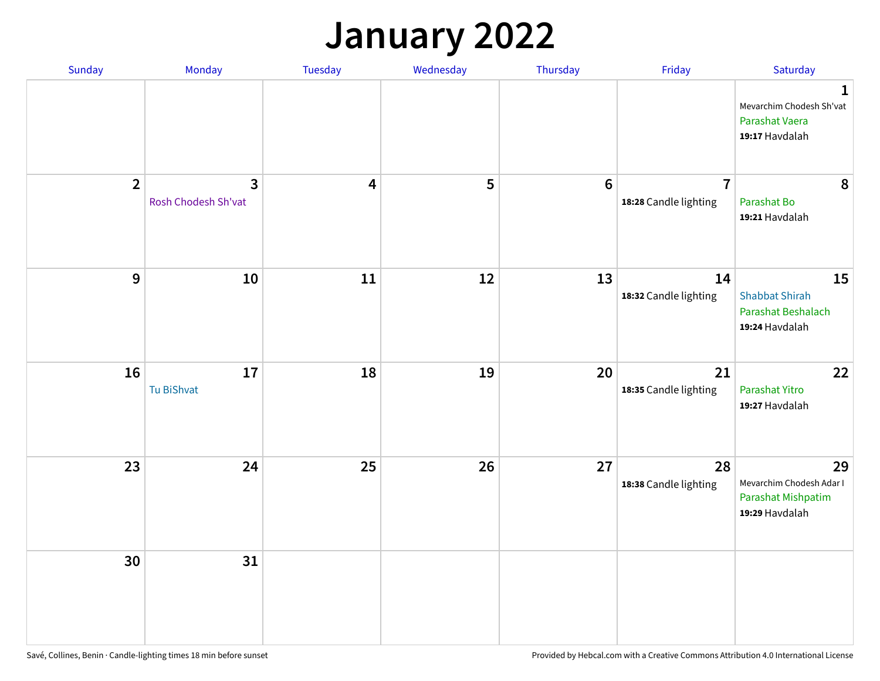## **January 2022**

| Sunday         | Monday                                | Tuesday                 | Wednesday | Thursday         | Friday                                  | Saturday                                                                     |
|----------------|---------------------------------------|-------------------------|-----------|------------------|-----------------------------------------|------------------------------------------------------------------------------|
|                |                                       |                         |           |                  |                                         | $\mathbf{1}$<br>Mevarchim Chodesh Sh'vat<br>Parashat Vaera<br>19:17 Havdalah |
| $\overline{2}$ | $\overline{3}$<br>Rosh Chodesh Sh'vat | $\overline{\mathbf{4}}$ | 5         | $\boldsymbol{6}$ | $\overline{7}$<br>18:28 Candle lighting | 8<br>Parashat Bo<br>19:21 Havdalah                                           |
| $\mathbf{9}$   | 10                                    | ${\bf 11}$              | 12        | 13               | 14<br>18:32 Candle lighting             | 15<br><b>Shabbat Shirah</b><br>Parashat Beshalach<br>19:24 Havdalah          |
| 16             | 17<br><b>Tu BiShvat</b>               | 18                      | 19        | 20               | 21<br>18:35 Candle lighting             | 22<br>Parashat Yitro<br>19:27 Havdalah                                       |
| 23             | 24                                    | 25                      | 26        | 27               | 28<br>18:38 Candle lighting             | 29<br>Mevarchim Chodesh Adar I<br>Parashat Mishpatim<br>19:29 Havdalah       |
| 30             | 31                                    |                         |           |                  |                                         |                                                                              |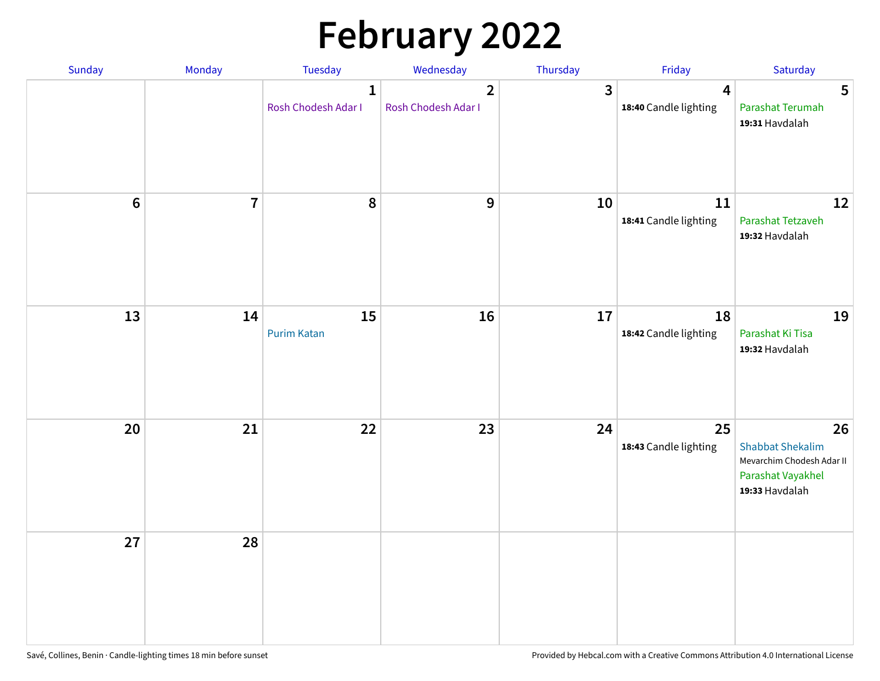# **February 2022**

| Sunday | Monday                  | <b>Tuesday</b>                      | Wednesday                             | Thursday | Friday                                           | Saturday                                                                                          |
|--------|-------------------------|-------------------------------------|---------------------------------------|----------|--------------------------------------------------|---------------------------------------------------------------------------------------------------|
|        |                         | $\mathbf{1}$<br>Rosh Chodesh Adar I | $\overline{2}$<br>Rosh Chodesh Adar I | 3        | $\overline{\mathbf{4}}$<br>18:40 Candle lighting | 5<br>Parashat Terumah<br>19:31 Havdalah                                                           |
| $6\,$  | $\overline{\mathbf{7}}$ | 8                                   | $\boldsymbol{9}$                      | 10       | 11<br>18:41 Candle lighting                      | 12<br>Parashat Tetzaveh<br>19:32 Havdalah                                                         |
| 13     | 14                      | 15<br><b>Purim Katan</b>            | 16                                    | 17       | 18<br>18:42 Candle lighting                      | 19<br>Parashat Ki Tisa<br>19:32 Havdalah                                                          |
| 20     | 21                      | 22                                  | 23                                    | 24       | 25<br>18:43 Candle lighting                      | 26<br><b>Shabbat Shekalim</b><br>Mevarchim Chodesh Adar II<br>Parashat Vayakhel<br>19:33 Havdalah |
| 27     | 28                      |                                     |                                       |          |                                                  |                                                                                                   |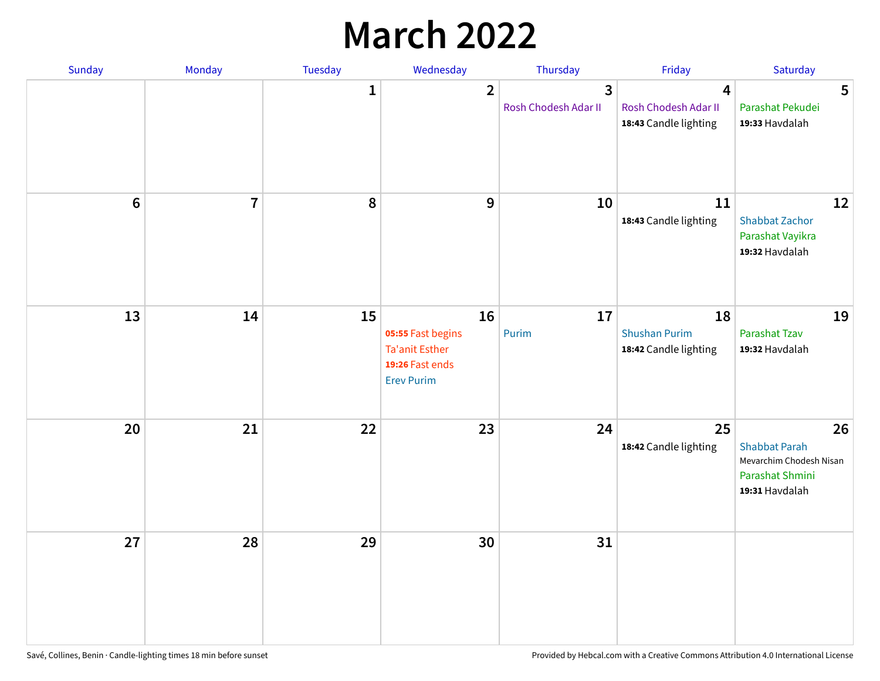## **March 2022**

| Sunday | Monday         | <b>Tuesday</b> | Wednesday                                                                                | Thursday                  | Friday                                              | Saturday                                                                                   |
|--------|----------------|----------------|------------------------------------------------------------------------------------------|---------------------------|-----------------------------------------------------|--------------------------------------------------------------------------------------------|
|        |                | $\mathbf{1}$   | $\overline{2}$                                                                           | 3<br>Rosh Chodesh Adar II | 4<br>Rosh Chodesh Adar II<br>18:43 Candle lighting  | 5<br>Parashat Pekudei<br>19:33 Havdalah                                                    |
| $6\,$  | $\overline{7}$ | 8              | 9                                                                                        | 10                        | 11<br>18:43 Candle lighting                         | 12<br><b>Shabbat Zachor</b><br>Parashat Vayikra<br>19:32 Havdalah                          |
| 13     | 14             | 15             | 16<br>05:55 Fast begins<br><b>Ta'anit Esther</b><br>19:26 Fast ends<br><b>Erev Purim</b> | 17<br>Purim               | 18<br><b>Shushan Purim</b><br>18:42 Candle lighting | 19<br>Parashat Tzav<br>19:32 Havdalah                                                      |
| 20     | 21             | 22             | 23                                                                                       | 24                        | 25<br>18:42 Candle lighting                         | 26<br><b>Shabbat Parah</b><br>Mevarchim Chodesh Nisan<br>Parashat Shmini<br>19:31 Havdalah |
| 27     | 28             | 29             | 30                                                                                       | 31                        |                                                     |                                                                                            |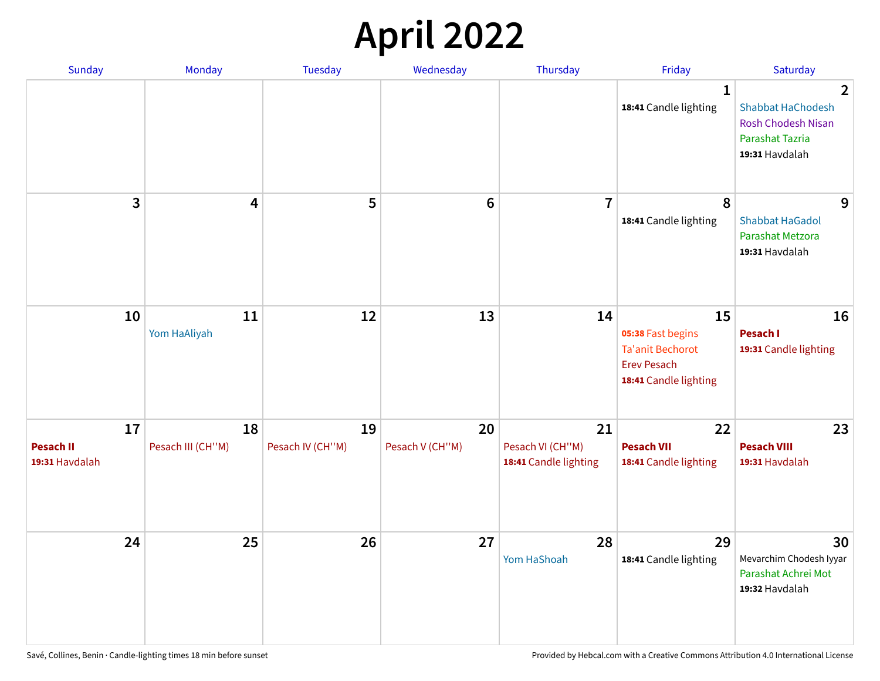## **April 2022**

| <b>Sunday</b>                            | Monday                  | <b>Tuesday</b>         | Wednesday             | Thursday                                        | Friday                                                                                            | Saturday                                                                                                            |
|------------------------------------------|-------------------------|------------------------|-----------------------|-------------------------------------------------|---------------------------------------------------------------------------------------------------|---------------------------------------------------------------------------------------------------------------------|
|                                          |                         |                        |                       |                                                 | 1<br>18:41 Candle lighting                                                                        | $\overline{2}$<br><b>Shabbat HaChodesh</b><br><b>Rosh Chodesh Nisan</b><br><b>Parashat Tazria</b><br>19:31 Havdalah |
| 3                                        | 4                       | 5                      | $6\phantom{1}$        | $\overline{7}$                                  | 8<br>18:41 Candle lighting                                                                        | 9<br><b>Shabbat HaGadol</b><br>Parashat Metzora<br>19:31 Havdalah                                                   |
| 10                                       | 11<br>Yom HaAliyah      | 12                     | 13                    | 14                                              | 15<br>05:38 Fast begins<br><b>Ta'anit Bechorot</b><br><b>Erev Pesach</b><br>18:41 Candle lighting | 16<br>Pesach I<br>19:31 Candle lighting                                                                             |
| 17<br><b>Pesach II</b><br>19:31 Havdalah | 18<br>Pesach III (CH"M) | 19<br>Pesach IV (CH"M) | 20<br>Pesach V (CH"M) | 21<br>Pesach VI (CH"M)<br>18:41 Candle lighting | 22<br><b>Pesach VII</b><br>18:41 Candle lighting                                                  | 23<br><b>Pesach VIII</b><br>19:31 Havdalah                                                                          |
| 24                                       | 25                      | 26                     | 27                    | 28<br>Yom HaShoah                               | 29<br>18:41 Candle lighting                                                                       | 30<br>Mevarchim Chodesh Iyyar<br>Parashat Achrei Mot<br>19:32 Havdalah                                              |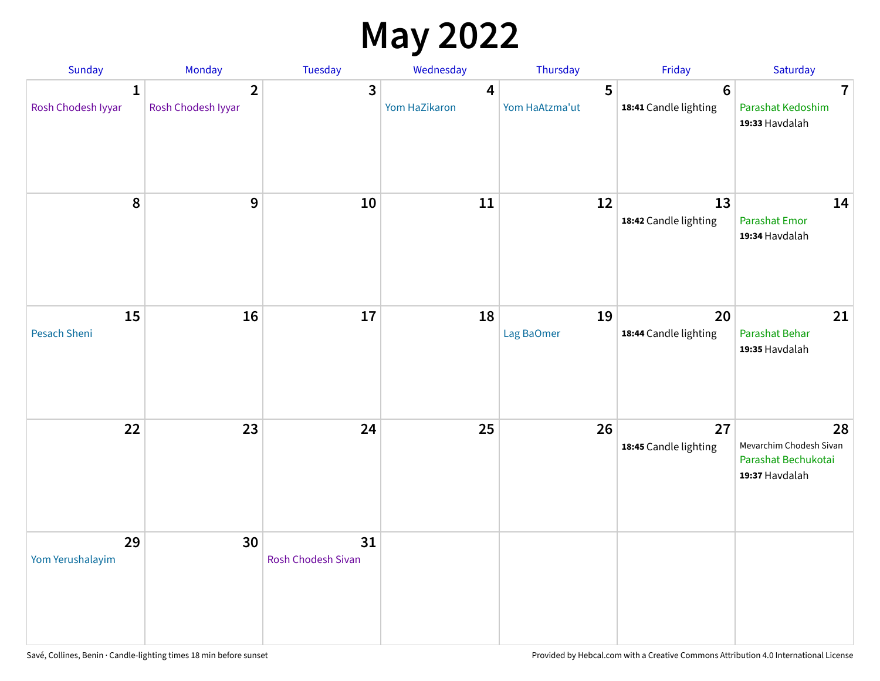### **May 2022**

| Sunday                             | Monday                               | Tuesday                         | Wednesday          | Thursday            | Friday                                   | Saturday                                                               |
|------------------------------------|--------------------------------------|---------------------------------|--------------------|---------------------|------------------------------------------|------------------------------------------------------------------------|
| $\mathbf{1}$<br>Rosh Chodesh Iyyar | $\overline{2}$<br>Rosh Chodesh Iyyar | 3                               | 4<br>Yom HaZikaron | 5<br>Yom HaAtzma'ut | $6\phantom{1}6$<br>18:41 Candle lighting | $\overline{7}$<br>Parashat Kedoshim<br>19:33 Havdalah                  |
| $\pmb{8}$                          | $\mathbf{9}$                         | 10                              | 11                 | 12                  | 13<br>18:42 Candle lighting              | 14<br><b>Parashat Emor</b><br>19:34 Havdalah                           |
| 15<br>Pesach Sheni                 | 16                                   | 17                              | 18                 | 19<br>Lag BaOmer    | 20<br>18:44 Candle lighting              | 21<br>Parashat Behar<br>19:35 Havdalah                                 |
| 22                                 | 23                                   | 24                              | 25                 | 26                  | 27<br>18:45 Candle lighting              | 28<br>Mevarchim Chodesh Sivan<br>Parashat Bechukotai<br>19:37 Havdalah |
| 29<br>Yom Yerushalayim             | 30                                   | 31<br><b>Rosh Chodesh Sivan</b> |                    |                     |                                          |                                                                        |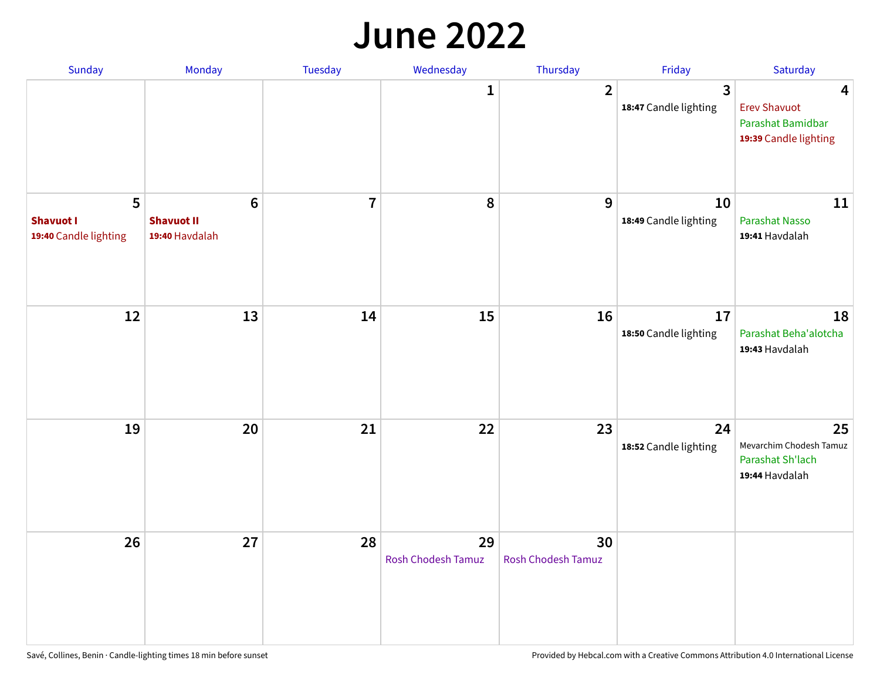#### **June 2022**

| Sunday                                         | Monday                                                | Tuesday        | Wednesday                       | Thursday                        | Friday                      | Saturday                                                               |
|------------------------------------------------|-------------------------------------------------------|----------------|---------------------------------|---------------------------------|-----------------------------|------------------------------------------------------------------------|
|                                                |                                                       |                | 1                               | $\overline{2}$                  | 3<br>18:47 Candle lighting  | 4<br><b>Erev Shavuot</b><br>Parashat Bamidbar<br>19:39 Candle lighting |
| 5<br><b>Shavuot I</b><br>19:40 Candle lighting | $6\phantom{1}$<br><b>Shavuot II</b><br>19:40 Havdalah | $\overline{7}$ | 8                               | 9                               | 10<br>18:49 Candle lighting | 11<br><b>Parashat Nasso</b><br>19:41 Havdalah                          |
| 12                                             | 13                                                    | 14             | 15                              | 16                              | 17<br>18:50 Candle lighting | 18<br>Parashat Beha'alotcha<br>19:43 Havdalah                          |
| 19                                             | 20                                                    | 21             | 22                              | 23                              | 24<br>18:52 Candle lighting | 25<br>Mevarchim Chodesh Tamuz<br>Parashat Sh'lach<br>19:44 Havdalah    |
| 26                                             | 27                                                    | 28             | 29<br><b>Rosh Chodesh Tamuz</b> | 30<br><b>Rosh Chodesh Tamuz</b> |                             |                                                                        |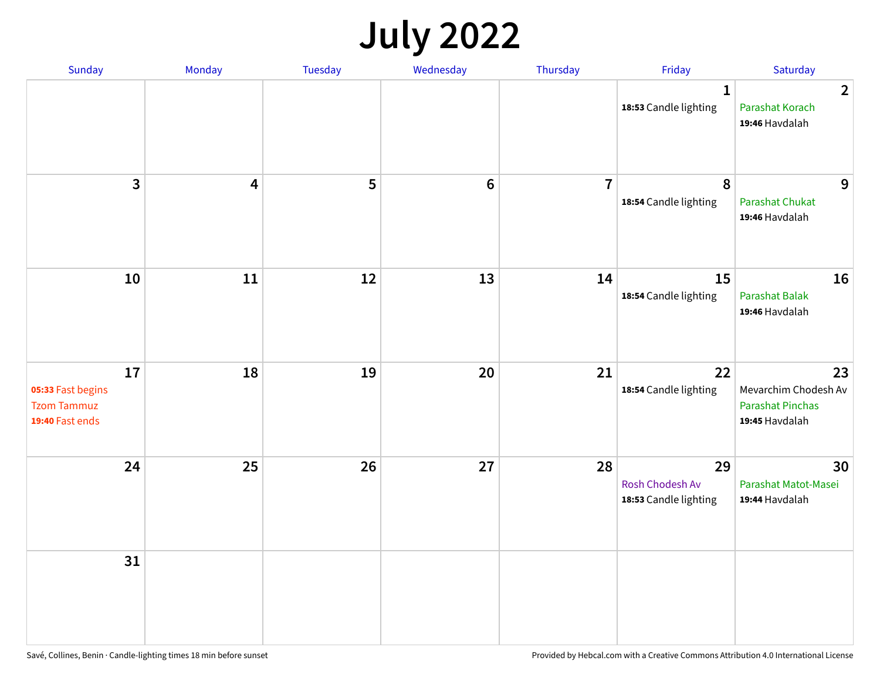## **July 2022**

| Sunday                                                           | Monday     | Tuesday | Wednesday | Thursday       | Friday                                                | Saturday                                                                |
|------------------------------------------------------------------|------------|---------|-----------|----------------|-------------------------------------------------------|-------------------------------------------------------------------------|
|                                                                  |            |         |           |                | $\mathbf{1}$<br>18:53 Candle lighting                 | $\overline{2}$<br>Parashat Korach<br>19:46 Havdalah                     |
| $\overline{\mathbf{3}}$                                          | 4          | 5       | $\bf 6$   | $\overline{7}$ | 8<br>18:54 Candle lighting                            | 9<br><b>Parashat Chukat</b><br>19:46 Havdalah                           |
| 10                                                               | ${\bf 11}$ | 12      | 13        | 14             | 15<br>18:54 Candle lighting                           | 16<br><b>Parashat Balak</b><br>19:46 Havdalah                           |
| 17<br>05:33 Fast begins<br><b>Tzom Tammuz</b><br>19:40 Fast ends | 18         | 19      | 20        | 21             | 22<br>18:54 Candle lighting                           | 23<br>Mevarchim Chodesh Av<br><b>Parashat Pinchas</b><br>19:45 Havdalah |
| 24                                                               | 25         | 26      | 27        | 28             | 29<br><b>Rosh Chodesh Av</b><br>18:53 Candle lighting | 30<br>Parashat Matot-Masei<br>19:44 Havdalah                            |
| 31                                                               |            |         |           |                |                                                       |                                                                         |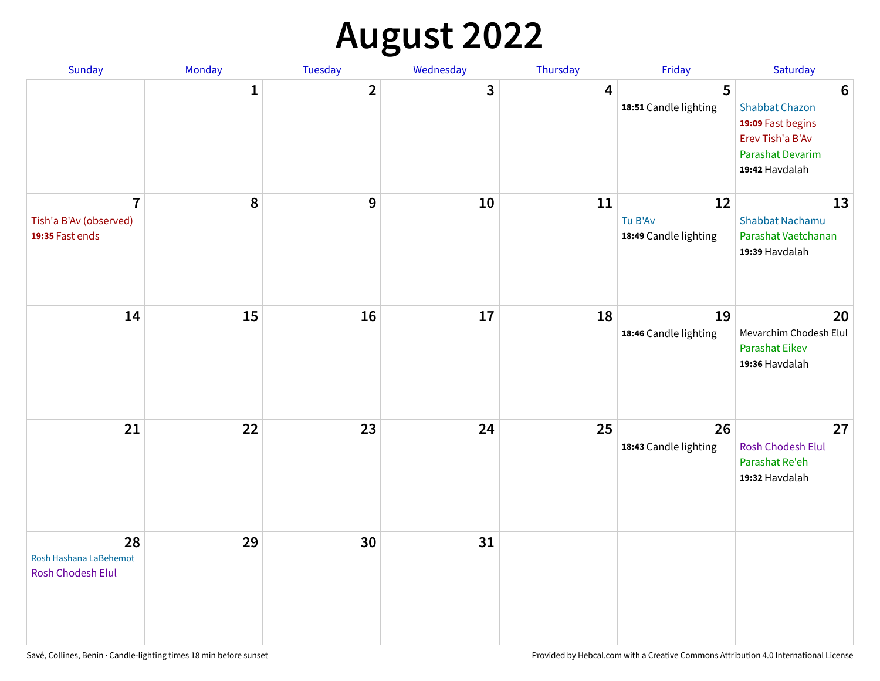## **August 2022**

| Sunday                                                      | Monday       | Tuesday                 | Wednesday | Thursday | Friday                                 | Saturday                                                                                                                       |
|-------------------------------------------------------------|--------------|-------------------------|-----------|----------|----------------------------------------|--------------------------------------------------------------------------------------------------------------------------------|
|                                                             | $\mathbf{1}$ | $\overline{\mathbf{2}}$ | 3         | 4        | 5<br>18:51 Candle lighting             | $6\phantom{1}6$<br><b>Shabbat Chazon</b><br>19:09 Fast begins<br>Erev Tish'a B'Av<br><b>Parashat Devarim</b><br>19:42 Havdalah |
| $\overline{7}$<br>Tish'a B'Av (observed)<br>19:35 Fast ends | 8            | 9                       | 10        | 11       | 12<br>Tu B'Av<br>18:49 Candle lighting | 13<br><b>Shabbat Nachamu</b><br>Parashat Vaetchanan<br>19:39 Havdalah                                                          |
| 14                                                          | 15           | 16                      | 17        | 18       | 19<br>18:46 Candle lighting            | 20<br>Mevarchim Chodesh Elul<br><b>Parashat Eikev</b><br>19:36 Havdalah                                                        |
| 21                                                          | 22           | 23                      | 24        | 25       | 26<br>18:43 Candle lighting            | 27<br><b>Rosh Chodesh Elul</b><br>Parashat Re'eh<br>19:32 Havdalah                                                             |
| 28<br>Rosh Hashana LaBehemot<br>Rosh Chodesh Elul           | 29           | 30                      | 31        |          |                                        |                                                                                                                                |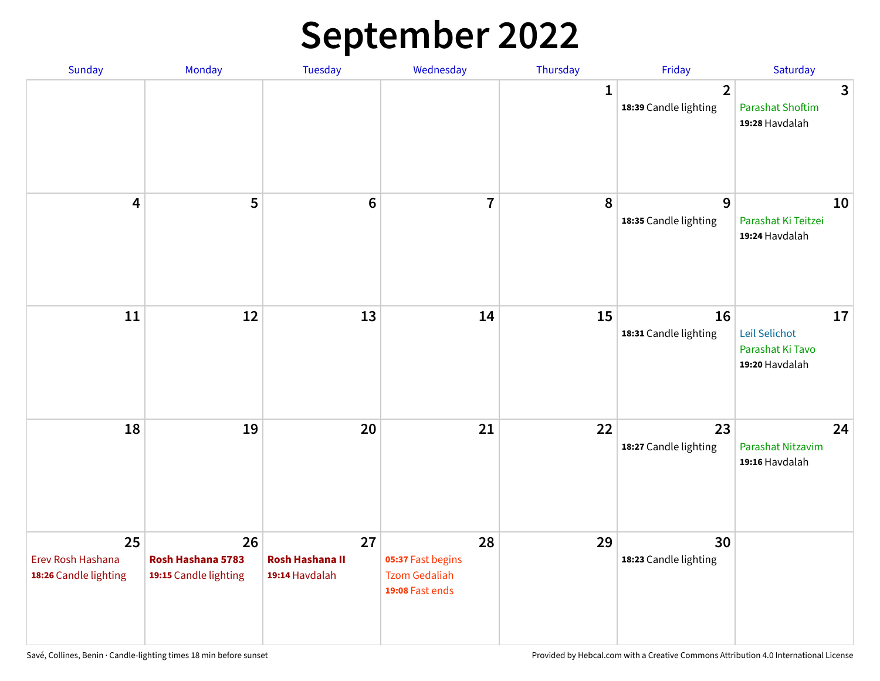## **September 2022**

| Sunday                                           | Monday                                           | <b>Tuesday</b>                                 | Wednesday                                                          | Thursday    | Friday                                  | Saturday                                                  |
|--------------------------------------------------|--------------------------------------------------|------------------------------------------------|--------------------------------------------------------------------|-------------|-----------------------------------------|-----------------------------------------------------------|
|                                                  |                                                  |                                                |                                                                    | $\mathbf 1$ | $\overline{2}$<br>18:39 Candle lighting | 3<br><b>Parashat Shoftim</b><br>19:28 Havdalah            |
| 4                                                | 5                                                | $6\phantom{1}6$                                | $\overline{7}$                                                     | 8           | 9<br>18:35 Candle lighting              | 10<br>Parashat Ki Teitzei<br>19:24 Havdalah               |
| 11                                               | 12                                               | 13                                             | 14                                                                 | 15          | 16<br>18:31 Candle lighting             | 17<br>Leil Selichot<br>Parashat Ki Tavo<br>19:20 Havdalah |
| 18                                               | 19                                               | 20                                             | 21                                                                 | 22          | 23<br>18:27 Candle lighting             | 24<br>Parashat Nitzavim<br>19:16 Havdalah                 |
| 25<br>Erev Rosh Hashana<br>18:26 Candle lighting | 26<br>Rosh Hashana 5783<br>19:15 Candle lighting | 27<br><b>Rosh Hashana II</b><br>19:14 Havdalah | 28<br>05:37 Fast begins<br><b>Tzom Gedaliah</b><br>19:08 Fast ends | 29          | 30<br>18:23 Candle lighting             |                                                           |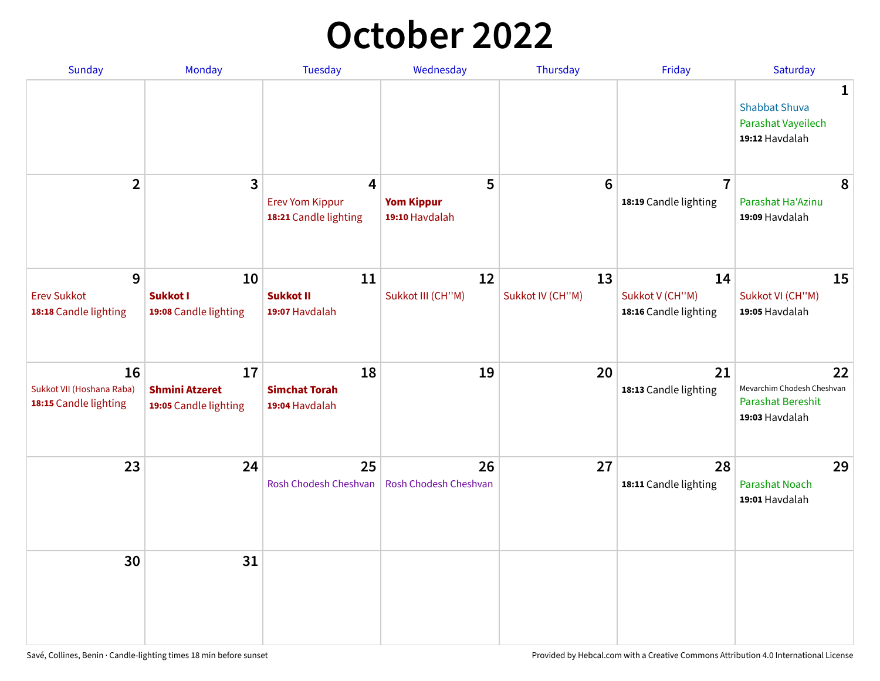## **October 2022**

| Sunday                                                   | Monday                                               | <b>Tuesday</b>                                                    | Wednesday                                | Thursday               | Friday                                         | Saturday                                                                |
|----------------------------------------------------------|------------------------------------------------------|-------------------------------------------------------------------|------------------------------------------|------------------------|------------------------------------------------|-------------------------------------------------------------------------|
|                                                          |                                                      |                                                                   |                                          |                        |                                                | 1<br><b>Shabbat Shuva</b><br>Parashat Vayeilech<br>19:12 Havdalah       |
| $\overline{2}$                                           | $\overline{\mathbf{3}}$                              | $\overline{4}$<br><b>Erev Yom Kippur</b><br>18:21 Candle lighting | 5<br><b>Yom Kippur</b><br>19:10 Havdalah | 6                      | $\overline{7}$<br>18:19 Candle lighting        | 8<br>Parashat Ha'Azinu<br>19:09 Havdalah                                |
| 9<br><b>Erev Sukkot</b><br>18:18 Candle lighting         | 10<br><b>Sukkot I</b><br>19:08 Candle lighting       | 11<br><b>Sukkot II</b><br>19:07 Havdalah                          | 12<br>Sukkot III (CH"M)                  | 13<br>Sukkot IV (CH"M) | 14<br>Sukkot V (CH"M)<br>18:16 Candle lighting | 15<br>Sukkot VI (CH"M)<br>19:05 Havdalah                                |
| 16<br>Sukkot VII (Hoshana Raba)<br>18:15 Candle lighting | 17<br><b>Shmini Atzeret</b><br>19:05 Candle lighting | 18<br><b>Simchat Torah</b><br>19:04 Havdalah                      | 19                                       | 20                     | 21<br>18:13 Candle lighting                    | 22<br>Mevarchim Chodesh Cheshvan<br>Parashat Bereshit<br>19:03 Havdalah |
| 23                                                       | 24                                                   | 25<br>Rosh Chodesh Cheshvan                                       | 26<br>Rosh Chodesh Cheshvan              | 27                     | 28<br>18:11 Candle lighting                    | 29<br><b>Parashat Noach</b><br>19:01 Havdalah                           |
| 30                                                       | 31                                                   |                                                                   |                                          |                        |                                                |                                                                         |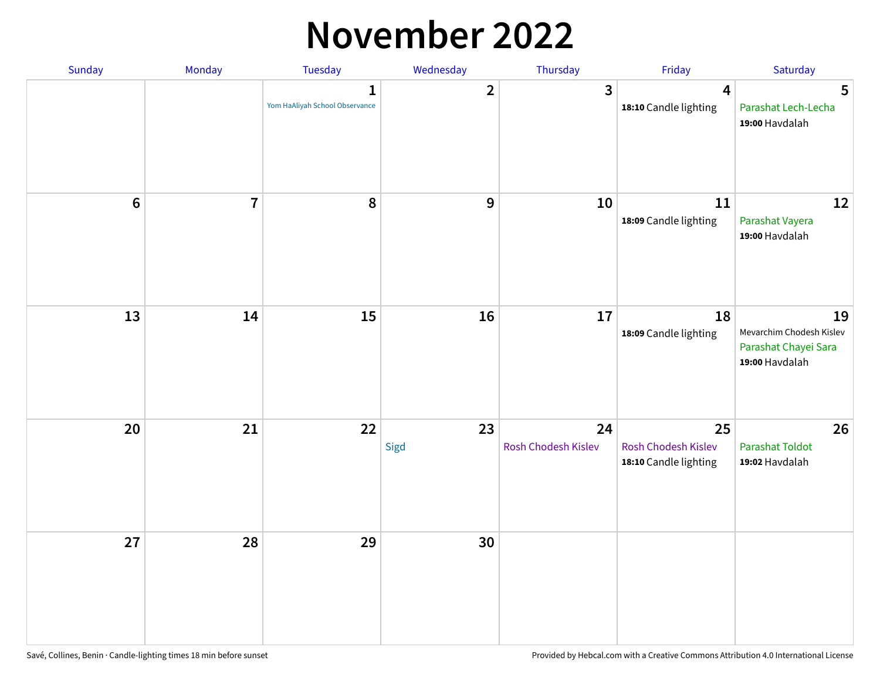#### **November 2022**

| Sunday  | Monday         | <b>Tuesday</b>                                 | Wednesday        | Thursday                  | Friday                                             | Saturday                                                                 |
|---------|----------------|------------------------------------------------|------------------|---------------------------|----------------------------------------------------|--------------------------------------------------------------------------|
|         |                | $\mathbf{1}$<br>Yom HaAliyah School Observance | $\overline{2}$   | $\mathbf{3}$              | $\overline{\mathbf{4}}$<br>18:10 Candle lighting   | 5<br>Parashat Lech-Lecha<br>19:00 Havdalah                               |
| $\bf 6$ | $\overline{7}$ | 8                                              | $\boldsymbol{9}$ | 10                        | 11<br>18:09 Candle lighting                        | 12<br>Parashat Vayera<br>19:00 Havdalah                                  |
| 13      | 14             | 15                                             | 16               | 17                        | 18<br>18:09 Candle lighting                        | 19<br>Mevarchim Chodesh Kislev<br>Parashat Chayei Sara<br>19:00 Havdalah |
| 20      | 21             | 22                                             | 23<br>Sigd       | 24<br>Rosh Chodesh Kislev | 25<br>Rosh Chodesh Kislev<br>18:10 Candle lighting | 26<br><b>Parashat Toldot</b><br>19:02 Havdalah                           |
| 27      | 28             | 29                                             | 30               |                           |                                                    |                                                                          |